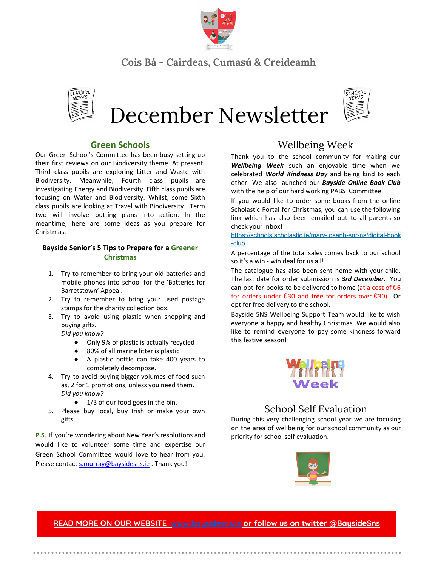

## **Cois Bá - Cairdeas, Cumasú & Creideamh**



December Newsletter



#### **Green Schools**

Our Green School's Committee has been busy setting up their first reviews on our Biodiversity theme. At present, Third class pupils are exploring Litter and Waste with Biodiversity. Meanwhile, Fourth class pupils are investigating Energy and Biodiversity. Fifth class pupils are focusing on Water and Biodiversity. Whilst, some Sixth class pupils are looking at Travel with Biodiversity. Term two will involve putting plans into action. In the meantime, here are some ideas as you prepare for Christmas.

#### **Bayside Senior's 5 Tips to Prepare for a Greener Christmas**

- 1. Try to remember to bring your old batteries and mobile phones into school for the 'Batteries for Barretstown' Appeal.
- 2. Try to remember to bring your used postage stamps for the charity collection box.
- 3. Try to avoid using plastic when shopping and buying gifts.

*Did you know?*

- Only 9% of plastic is actually recycled
- 80% of all marine litter is plastic
- A plastic bottle can take 400 years to completely decompose.
- 4. Try to avoid buying bigger volumes of food such as, 2 for 1 promotions, unless you need them. *Did you know?*
	- 1/3 of our food goes in the bin.
- 5. Please buy local, buy Irish or make your own gifts.

**P.S.** If you're wondering about New Year's resolutions and would like to volunteer some time and expertise our Green School Committee would love to hear from you. Please contact [s.murray@baysidesns.ie](mailto:s.murray@baysidesns.ie) . Thank you!

# Wellbeing Week

Thank you to the school community for making our *Wellbeing Week* such an enjoyable time when we celebrated *World Kindness Day* and being kind to each other. We also launched our *Bayside Online Book Club* with the help of our hard working PABS Committee.

If you would like to order some books from the online Scholastic Portal for Christmas, you can use the following link which has also been emailed out to all parents so check your inbox!

[https://schools.scholastic.ie/mary-joseph-snr-ns/digital-book](https://schools.scholastic.ie/mary-joseph-snr-ns/digital-book-club) [-club](https://schools.scholastic.ie/mary-joseph-snr-ns/digital-book-club)

A percentage of the total sales comes back to our school so it's a win - win deal for us all!

The catalogue has also been sent home with your child. The last date for order submission is *3rd December.* You can opt for books to be delivered to home (at a cost of  $\text{£}6$ for orders under €30 and **free** for orders over €30). Or opt for free delivery to the school.

Bayside SNS Wellbeing Support Team would like to wish everyone a happy and healthy Christmas. We would also like to remind everyone to pay some kindness forward this festive season!



### School Self Evaluation

During this very challenging school year we are focusing on the area of wellbeing for our school community as our priority for school self evaluation.



**READ MORE ON OUR [WEBSITE](http://www.google.com/) [www.baysidesns.ie](http://www.baysidesns.ie/) or follow us on twitter @BaysideSns**